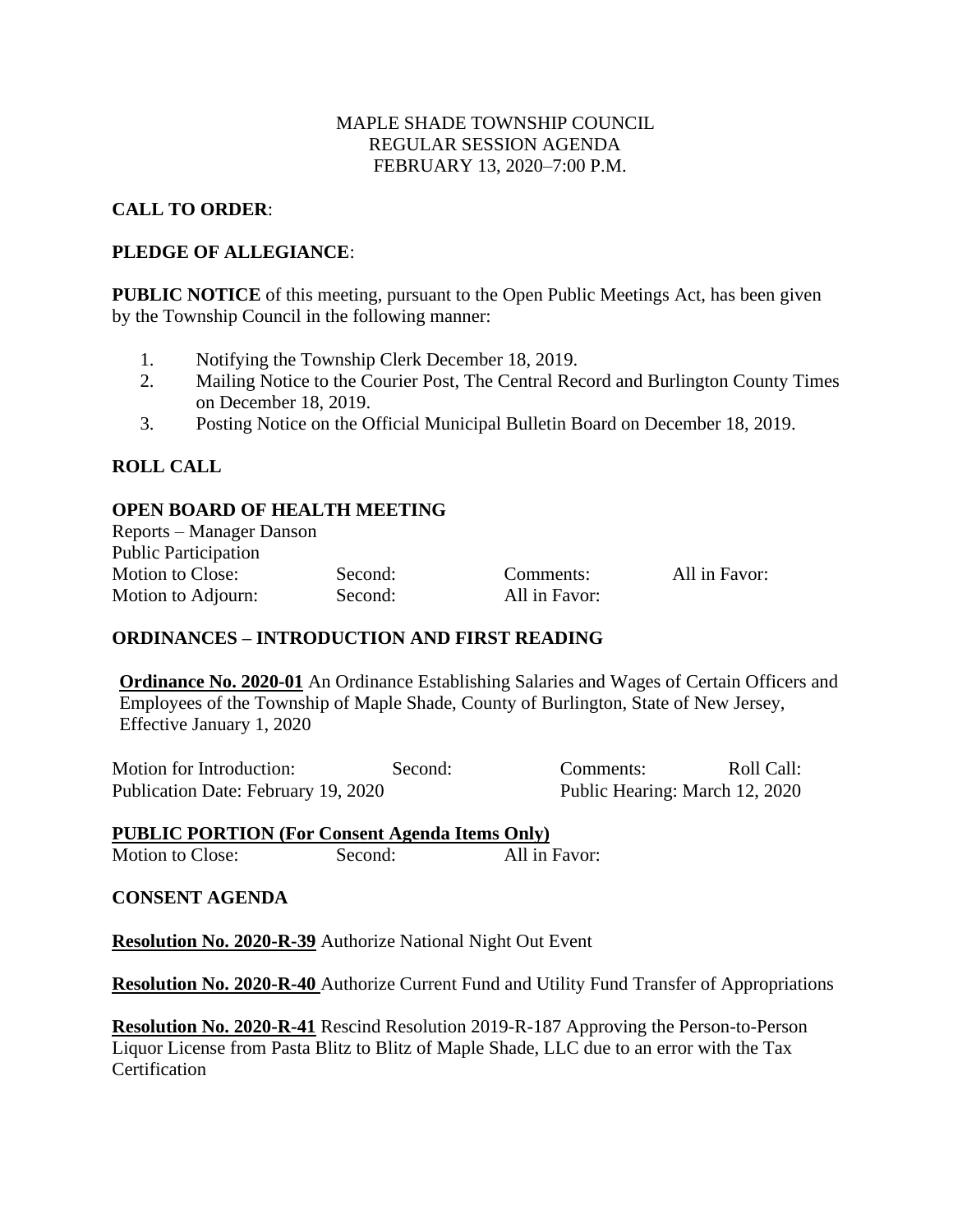## MAPLE SHADE TOWNSHIP COUNCIL REGULAR SESSION AGENDA FEBRUARY 13, 2020–7:00 P.M.

## **CALL TO ORDER**:

## **PLEDGE OF ALLEGIANCE**:

**PUBLIC NOTICE** of this meeting, pursuant to the Open Public Meetings Act, has been given by the Township Council in the following manner:

- 1. Notifying the Township Clerk December 18, 2019.
- 2. Mailing Notice to the Courier Post, The Central Record and Burlington County Times on December 18, 2019.
- 3. Posting Notice on the Official Municipal Bulletin Board on December 18, 2019.

# **ROLL CALL**

## **OPEN BOARD OF HEALTH MEETING**

Reports – Manager Danson Public Participation Motion to Close: Second: Comments: All in Favor: Motion to Adjourn: Second: All in Favor:

## **ORDINANCES – INTRODUCTION AND FIRST READING**

**Ordinance No. 2020-01** An Ordinance Establishing Salaries and Wages of Certain Officers and Employees of the Township of Maple Shade, County of Burlington, State of New Jersey, Effective January 1, 2020

Motion for Introduction: Second: Comments: Roll Call: Publication Date: February 19, 2020 Public Hearing: March 12, 2020

# **PUBLIC PORTION (For Consent Agenda Items Only)**

Motion to Close: Second: All in Favor:

### **CONSENT AGENDA**

**Resolution No. 2020-R-39** Authorize National Night Out Event

**Resolution No. 2020-R-40** Authorize Current Fund and Utility Fund Transfer of Appropriations

**Resolution No. 2020-R-41** Rescind Resolution 2019-R-187 Approving the Person-to-Person Liquor License from Pasta Blitz to Blitz of Maple Shade, LLC due to an error with the Tax **Certification**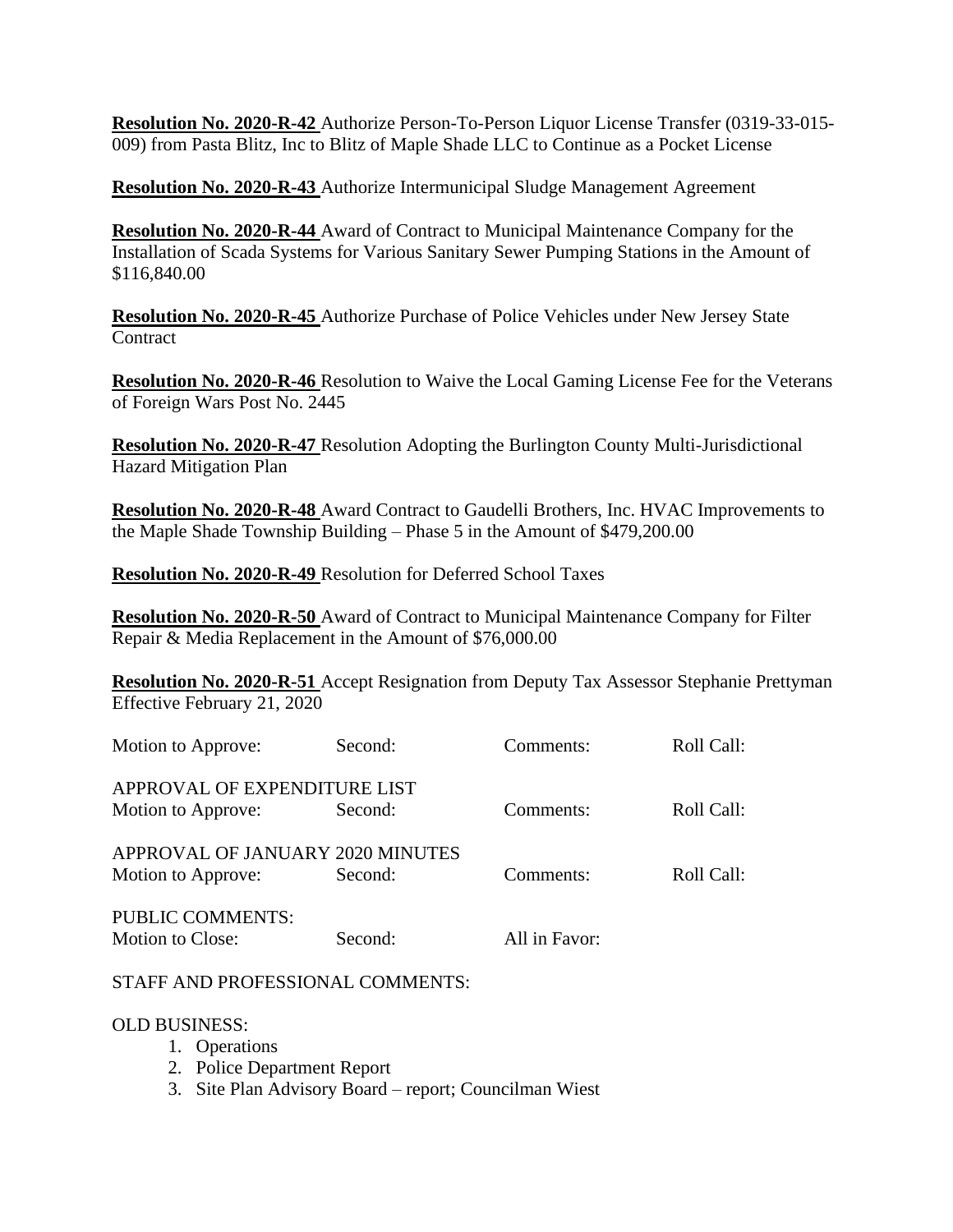**Resolution No. 2020-R-42** Authorize Person-To-Person Liquor License Transfer (0319-33-015- 009) from Pasta Blitz, Inc to Blitz of Maple Shade LLC to Continue as a Pocket License

**Resolution No. 2020-R-43** Authorize Intermunicipal Sludge Management Agreement

**Resolution No. 2020-R-44** Award of Contract to Municipal Maintenance Company for the Installation of Scada Systems for Various Sanitary Sewer Pumping Stations in the Amount of \$116,840.00

**Resolution No. 2020-R-45** Authorize Purchase of Police Vehicles under New Jersey State **Contract** 

**Resolution No. 2020-R-46** Resolution to Waive the Local Gaming License Fee for the Veterans of Foreign Wars Post No. 2445

**Resolution No. 2020-R-47** Resolution Adopting the Burlington County Multi-Jurisdictional Hazard Mitigation Plan

**Resolution No. 2020-R-48** Award Contract to Gaudelli Brothers, Inc. HVAC Improvements to the Maple Shade Township Building – Phase 5 in the Amount of \$479,200.00

**Resolution No. 2020-R-49** Resolution for Deferred School Taxes

**Resolution No. 2020-R-50** Award of Contract to Municipal Maintenance Company for Filter Repair & Media Replacement in the Amount of \$76,000.00

**Resolution No. 2020-R-51** Accept Resignation from Deputy Tax Assessor Stephanie Prettyman Effective February 21, 2020

| Motion to Approve:               | Second: | Comments:     | Roll Call: |
|----------------------------------|---------|---------------|------------|
| APPROVAL OF EXPENDITURE LIST     |         |               |            |
| Motion to Approve:               | Second: | Comments:     | Roll Call: |
| APPROVAL OF JANUARY 2020 MINUTES |         |               |            |
| Motion to Approve:               | Second: | Comments:     | Roll Call: |
| <b>PUBLIC COMMENTS:</b>          |         |               |            |
| Motion to Close:                 | Second: | All in Favor: |            |

### STAFF AND PROFESSIONAL COMMENTS:

### OLD BUSINESS:

- 1. Operations
- 2. Police Department Report
- 3. Site Plan Advisory Board report; Councilman Wiest